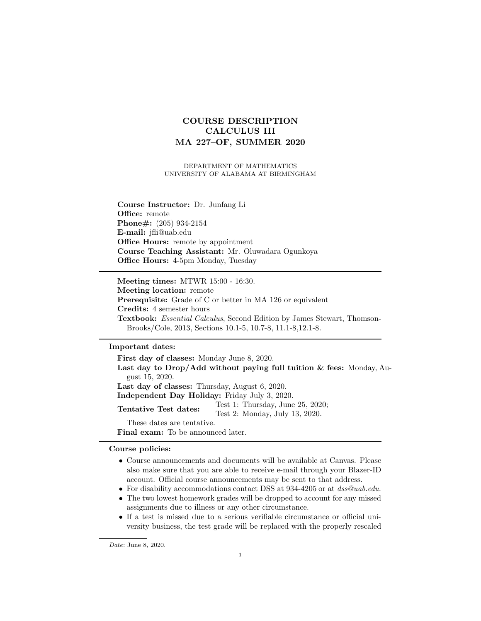# COURSE DESCRIPTION CALCULUS III MA 227–OF, SUMMER 2020

DEPARTMENT OF MATHEMATICS UNIVERSITY OF ALABAMA AT BIRMINGHAM

Course Instructor: Dr. Junfang Li Office: remote Phone#: (205) 934-2154 E-mail: jfli@uab.edu Office Hours: remote by appointment Course Teaching Assistant: Mr. Oluwadara Ogunkoya Office Hours: 4-5pm Monday, Tuesday

Meeting times: MTWR 15:00 - 16:30. Meeting location: remote Prerequisite: Grade of C or better in MA 126 or equivalent Credits: 4 semester hours Textbook: Essential Calculus, Second Edition by James Stewart, Thomson-Brooks/Cole, 2013, Sections 10.1-5, 10.7-8, 11.1-8,12.1-8.

### Important dates:

First day of classes: Monday June 8, 2020. Last day to  $Drop/Add$  without paying full tuition  $\&$  fees: Monday, August 15, 2020. Last day of classes: Thursday, August 6, 2020. Independent Day Holiday: Friday July 3, 2020. Tentative Test dates:  $T_{\text{est}}$  1: Thursday, June 25, 2020; Test 2: Monday, July 13, 2020. These dates are tentative. Final exam: To be announced later.

#### Course policies:

- Course announcements and documents will be available at Canvas. Please also make sure that you are able to receive e-mail through your Blazer-ID account. Official course announcements may be sent to that address.
- For disability accommodations contact DSS at 934-4205 or at  $dss@uab.edu$ .
- The two lowest homework grades will be dropped to account for any missed assignments due to illness or any other circumstance.
- If a test is missed due to a serious verifiable circumstance or official university business, the test grade will be replaced with the properly rescaled

Date: June 8, 2020.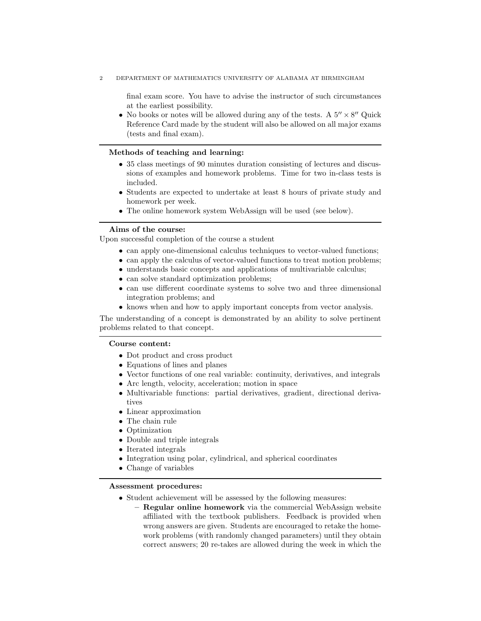2 DEPARTMENT OF MATHEMATICS UNIVERSITY OF ALABAMA AT BIRMINGHAM

final exam score. You have to advise the instructor of such circumstances at the earliest possibility.

• No books or notes will be allowed during any of the tests. A  $5'' \times 8''$  Quick Reference Card made by the student will also be allowed on all major exams (tests and final exam).

## Methods of teaching and learning:

- 35 class meetings of 90 minutes duration consisting of lectures and discussions of examples and homework problems. Time for two in-class tests is included.
- Students are expected to undertake at least 8 hours of private study and homework per week.
- The online homework system WebAssign will be used (see below).

#### Aims of the course:

Upon successful completion of the course a student

- can apply one-dimensional calculus techniques to vector-valued functions;
- can apply the calculus of vector-valued functions to treat motion problems;
- understands basic concepts and applications of multivariable calculus;
- can solve standard optimization problems;
- can use different coordinate systems to solve two and three dimensional integration problems; and
- knows when and how to apply important concepts from vector analysis.

The understanding of a concept is demonstrated by an ability to solve pertinent problems related to that concept.

## Course content:

- Dot product and cross product
- Equations of lines and planes
- Vector functions of one real variable: continuity, derivatives, and integrals
- Arc length, velocity, acceleration; motion in space
- Multivariable functions: partial derivatives, gradient, directional derivatives
- Linear approximation
- The chain rule
- Optimization
- Double and triple integrals
- Iterated integrals
- Integration using polar, cylindrical, and spherical coordinates
- Change of variables

# Assessment procedures:

- Student achievement will be assessed by the following measures:
	- Regular online homework via the commercial WebAssign website affiliated with the textbook publishers. Feedback is provided when wrong answers are given. Students are encouraged to retake the homework problems (with randomly changed parameters) until they obtain correct answers; 20 re-takes are allowed during the week in which the